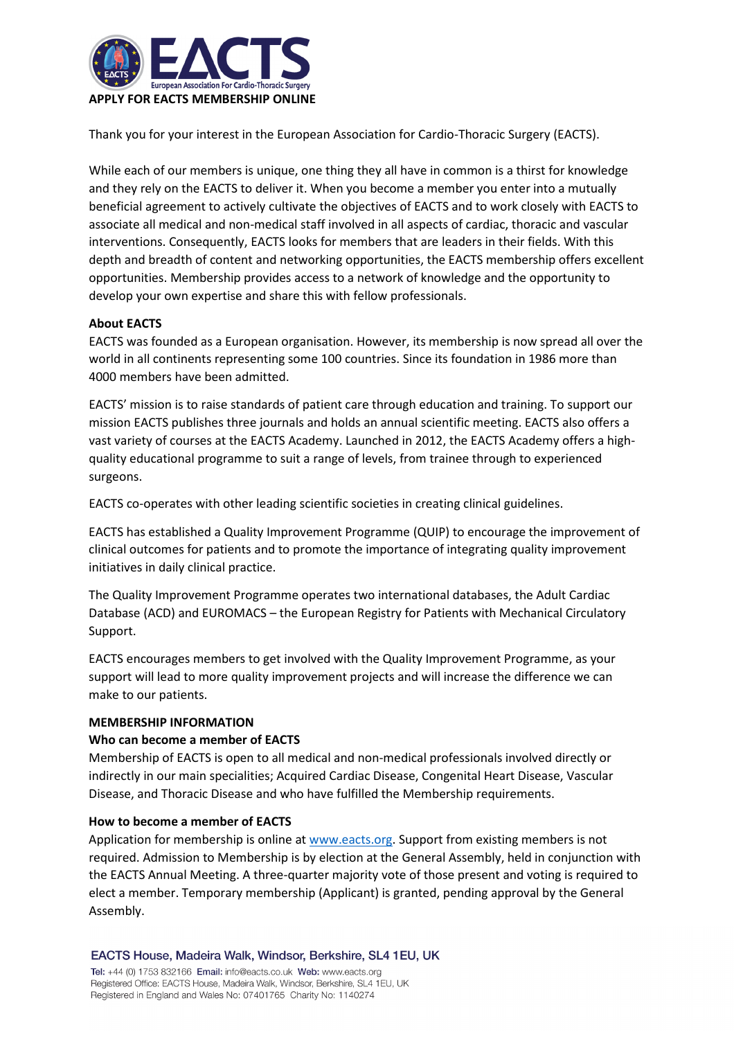

Thank you for your interest in the European Association for Cardio-Thoracic Surgery (EACTS).

While each of our members is unique, one thing they all have in common is a thirst for knowledge and they rely on the EACTS to deliver it. When you become a member you enter into a mutually beneficial agreement to actively cultivate the objectives of EACTS and to work closely with EACTS to associate all medical and non-medical staff involved in all aspects of cardiac, thoracic and vascular interventions. Consequently, EACTS looks for members that are leaders in their fields. With this depth and breadth of content and networking opportunities, the EACTS membership offers excellent opportunities. Membership provides access to a network of knowledge and the opportunity to develop your own expertise and share this with fellow professionals.

### **About EACTS**

EACTS was founded as a European organisation. However, its membership is now spread all over the world in all continents representing some 100 countries. Since its foundation in 1986 more than 4000 members have been admitted.

EACTS' mission is to raise standards of patient care through education and training. To support our mission EACTS publishes three journals and holds an annual scientific meeting. EACTS also offers a vast variety of courses at the EACTS Academy. Launched in 2012, the EACTS Academy offers a highquality educational programme to suit a range of levels, from trainee through to experienced surgeons.

EACTS co-operates with other leading scientific societies in creating clinical guidelines.

EACTS has established a Quality Improvement Programme (QUIP) to encourage the improvement of clinical outcomes for patients and to promote the importance of integrating quality improvement initiatives in daily clinical practice.

The Quality Improvement Programme operates two international databases, the Adult Cardiac Database (ACD) and EUROMACS – the European Registry for Patients with Mechanical Circulatory Support.

EACTS encourages members to get involved with the Quality Improvement Programme, as your support will lead to more quality improvement projects and will increase the difference we can make to our patients.

### **MEMBERSHIP INFORMATION**

### **Who can become a member of EACTS**

Membership of EACTS is open to all medical and non-medical professionals involved directly or indirectly in our main specialities; Acquired Cardiac Disease, Congenital Heart Disease, Vascular Disease, and Thoracic Disease and who have fulfilled the Membership requirements.

#### **How to become a member of EACTS**

Application for membership is online at [www.eacts.org.](http://www.eacts.org/) Support from existing members is not required. Admission to Membership is by election at the General Assembly, held in conjunction with the EACTS Annual Meeting. A three-quarter majority vote of those present and voting is required to elect a member. Temporary membership (Applicant) is granted, pending approval by the General Assembly.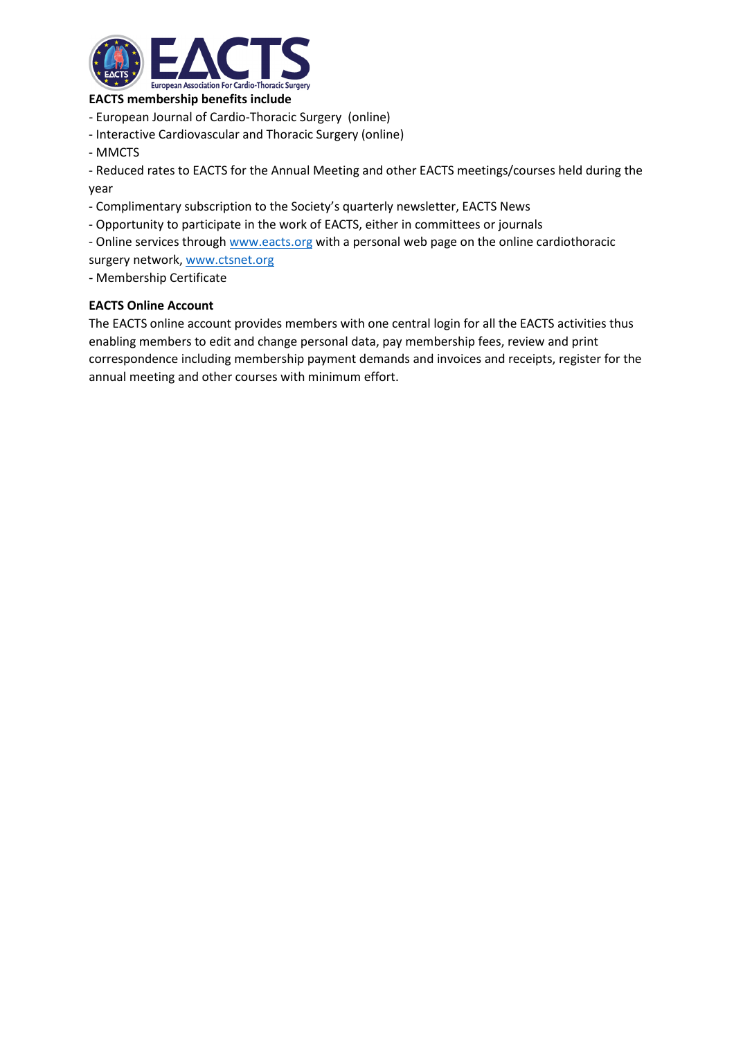

### **EACTS membership benefits include**

- European Journal of Cardio-Thoracic Surgery (online)
- Interactive Cardiovascular and Thoracic Surgery (online)
- MMCTS

- Reduced rates to EACTS for the Annual Meeting and other EACTS meetings/courses held during the year

- Complimentary subscription to the Society's quarterly newsletter, EACTS News
- Opportunity to participate in the work of EACTS, either in committees or journals
- Online services through [www.eacts.org](http://www.eacts.org/) with a personal web page on the online cardiothoracic
- surgery network[, www.ctsnet.org](http://www.ctsnet.org/)
- **-** Membership Certificate

## **EACTS Online Account**

The EACTS online account provides members with one central login for all the EACTS activities thus enabling members to edit and change personal data, pay membership fees, review and print correspondence including membership payment demands and invoices and receipts, register for the annual meeting and other courses with minimum effort.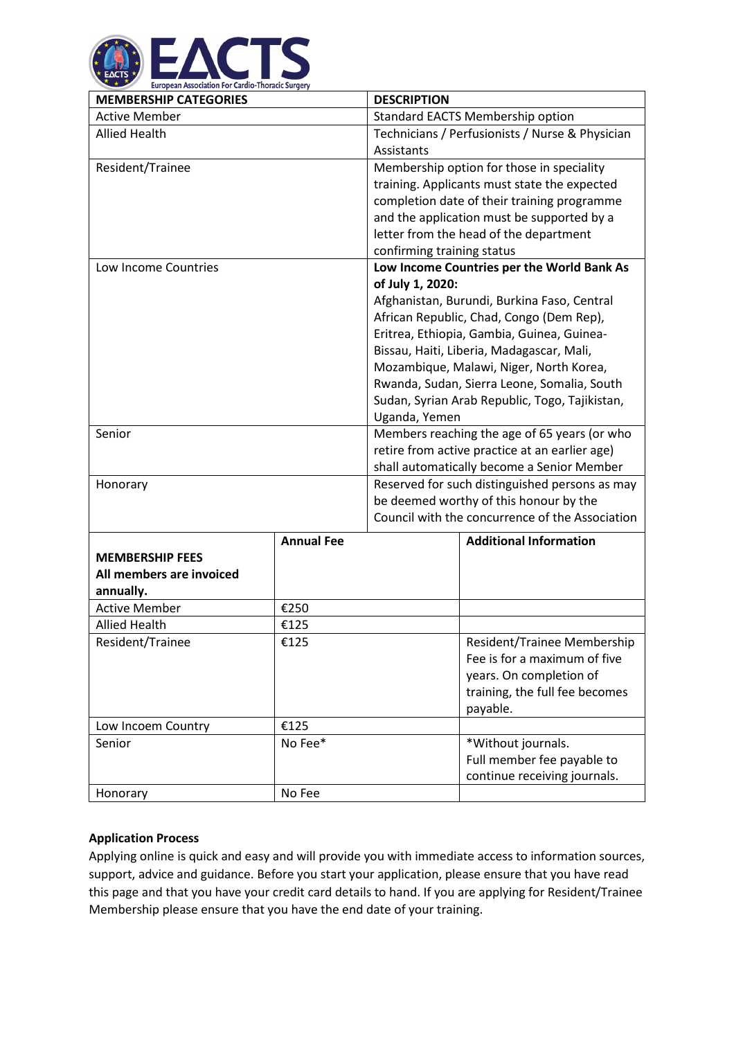

| <b>DESCRIPTION</b>                              |  |
|-------------------------------------------------|--|
| Standard EACTS Membership option                |  |
| Technicians / Perfusionists / Nurse & Physician |  |
| Assistants                                      |  |
| Membership option for those in speciality       |  |
| training. Applicants must state the expected    |  |
| completion date of their training programme     |  |
| and the application must be supported by a      |  |
| letter from the head of the department          |  |
| confirming training status                      |  |
| Low Income Countries per the World Bank As      |  |
| of July 1, 2020:                                |  |
| Afghanistan, Burundi, Burkina Faso, Central     |  |
| African Republic, Chad, Congo (Dem Rep),        |  |
| Eritrea, Ethiopia, Gambia, Guinea, Guinea-      |  |
| Bissau, Haiti, Liberia, Madagascar, Mali,       |  |
| Mozambique, Malawi, Niger, North Korea,         |  |
| Rwanda, Sudan, Sierra Leone, Somalia, South     |  |
| Sudan, Syrian Arab Republic, Togo, Tajikistan,  |  |
| Uganda, Yemen                                   |  |
| Members reaching the age of 65 years (or who    |  |
| retire from active practice at an earlier age)  |  |
| shall automatically become a Senior Member      |  |
| Reserved for such distinguished persons as may  |  |
| be deemed worthy of this honour by the          |  |
| Council with the concurrence of the Association |  |
|                                                 |  |

| <b>MEMBERSHIP FEES</b><br>All members are invoiced<br>annually. | <b>Annual Fee</b> | <b>Additional Information</b>                                                                                                        |
|-----------------------------------------------------------------|-------------------|--------------------------------------------------------------------------------------------------------------------------------------|
| <b>Active Member</b>                                            | €250              |                                                                                                                                      |
| Allied Health                                                   | £125              |                                                                                                                                      |
| Resident/Trainee                                                | €125              | Resident/Trainee Membership<br>Fee is for a maximum of five<br>years. On completion of<br>training, the full fee becomes<br>payable. |
| Low Incoem Country                                              | €125              |                                                                                                                                      |
| Senior                                                          | No Fee*           | *Without journals.<br>Full member fee payable to<br>continue receiving journals.                                                     |
| Honorary                                                        | No Fee            |                                                                                                                                      |

# **Application Process**

Applying online is quick and easy and will provide you with immediate access to information sources, support, advice and guidance. Before you start your application, please ensure that you have read this page and that you have your credit card details to hand. If you are applying for Resident/Trainee Membership please ensure that you have the end date of your training.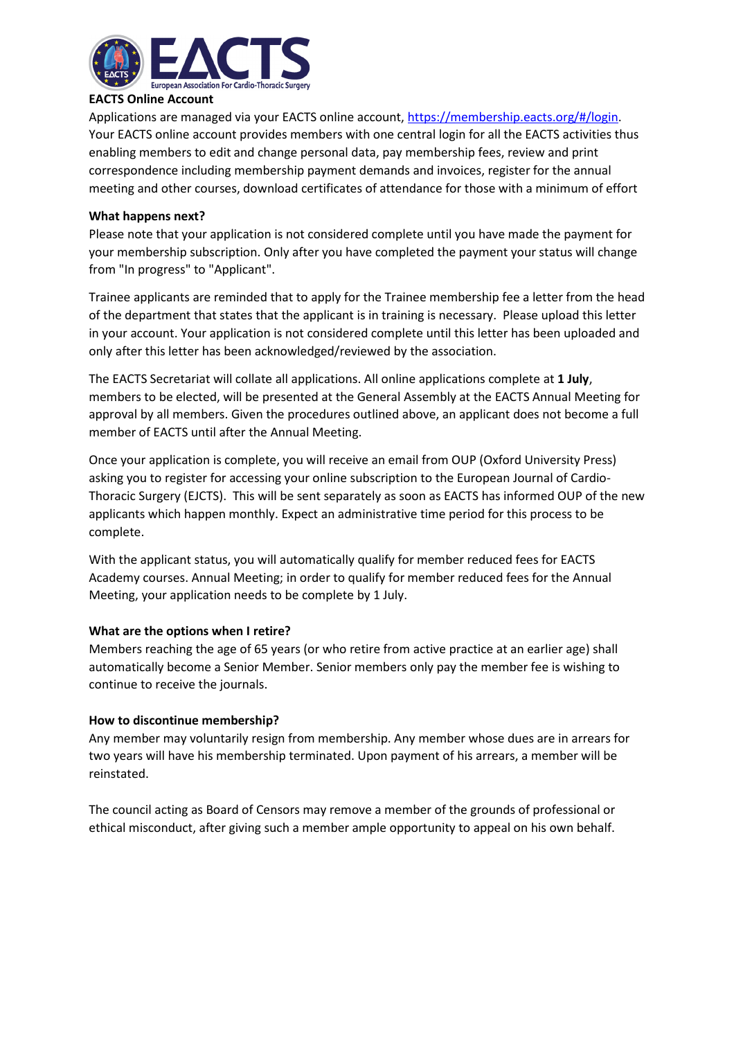

# **EACTS Online Account**

Applications are managed via your EACTS online account, [https://membership.eacts.org/#/login.](https://membership.eacts.org/#/login) Your EACTS online account provides members with one central login for all the EACTS activities thus enabling members to edit and change personal data, pay membership fees, review and print correspondence including membership payment demands and invoices, register for the annual meeting and other courses, download certificates of attendance for those with a minimum of effort

#### **What happens next?**

Please note that your application is not considered complete until you have made the payment for your membership subscription. Only after you have completed the payment your status will change from "In progress" to "Applicant".

Trainee applicants are reminded that to apply for the Trainee membership fee a letter from the head of the department that states that the applicant is in training is necessary. Please upload this letter in your account. Your application is not considered complete until this letter has been uploaded and only after this letter has been acknowledged/reviewed by the association.

The EACTS Secretariat will collate all applications. All online applications complete at **1 July**, members to be elected, will be presented at the General Assembly at the EACTS Annual Meeting for approval by all members. Given the procedures outlined above, an applicant does not become a full member of EACTS until after the Annual Meeting.

Once your application is complete, you will receive an email from OUP (Oxford University Press) asking you to register for accessing your online subscription to the European Journal of Cardio-Thoracic Surgery (EJCTS). This will be sent separately as soon as EACTS has informed OUP of the new applicants which happen monthly. Expect an administrative time period for this process to be complete.

With the applicant status, you will automatically qualify for member reduced fees for EACTS Academy courses. Annual Meeting; in order to qualify for member reduced fees for the Annual Meeting, your application needs to be complete by 1 July.

### **What are the options when I retire?**

Members reaching the age of 65 years (or who retire from active practice at an earlier age) shall automatically become a Senior Member. Senior members only pay the member fee is wishing to continue to receive the journals.

### **How to discontinue membership?**

Any member may voluntarily resign from membership. Any member whose dues are in arrears for two years will have his membership terminated. Upon payment of his arrears, a member will be reinstated.

The council acting as Board of Censors may remove a member of the grounds of professional or ethical misconduct, after giving such a member ample opportunity to appeal on his own behalf.